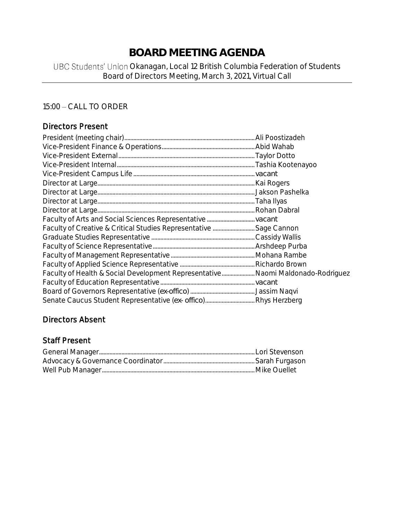# **BOARD MEETING AGENDA**

## UBC Students' Union Okanagan, Local 12 British Columbia Federation of Students Board of Directors Meeting, March 3, 2021, Virtual Call

# 15:00 - CALL TO ORDER

## Directors Present

| Faculty of Creative & Critical Studies Representative  Sage Cannon              |  |
|---------------------------------------------------------------------------------|--|
|                                                                                 |  |
|                                                                                 |  |
|                                                                                 |  |
|                                                                                 |  |
| Faculty of Health & Social Development Representative Naomi Maldonado-Rodriguez |  |
|                                                                                 |  |
|                                                                                 |  |
|                                                                                 |  |

## Directors Absent

#### Staff Present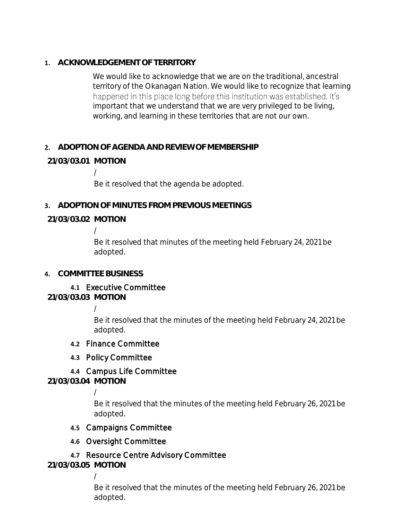**1. ACKNOWLEDGEMENT OF TERRITORY**

We would like to acknowledge that we are on the traditional, ancestral territory of the Okanagan Nation. We would like to recognize that learning happened in this place long before this institution was established. It's important that we understand that we are very privileged to be living, working, and learning in these territories that are not our own.

## **2. ADOPTION OF AGENDA AND REVIEW OF MEMBERSHIP**

## **21/03/03.01 MOTION**

/

Be it resolved that the agenda be adopted.

**3. ADOPTION OF MINUTES FROM PREVIOUS MEETINGS**

**21/03/03.02 MOTION**

/

Be it resolved that minutes of the meeting held February 24, 2021 be adopted.

## **4. COMMITTEE BUSINESS**

## **4.1** Executive Committee

**21/03/03.03 MOTION**

/

Be it resolved that the minutes of the meeting held February 24, 2021 be adopted.

## **4.2** Finance Committee

## **4.3** Policy Committee

# **4.4** Campus Life Committee

**21/03/03.04 MOTION**

/

Be it resolved that the minutes of the meeting held February 26, 2021 be adopted.

## **4.5** Campaigns Committee

## **4.6** Oversight Committee

## **4.7** Resource Centre Advisory Committee

**21/03/03.05 MOTION**

/

Be it resolved that the minutes of the meeting held February 26, 2021 be adopted.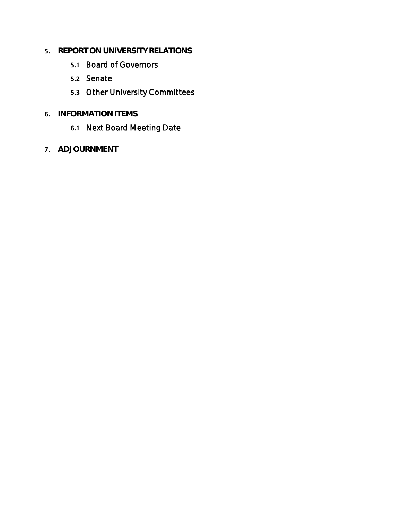- **5. REPORT ON UNIVERSITY RELATIONS**
	- **5.1** Board of Governors
	- **5.2** Senate
	- **5.3** Other University Committees
- **6. INFORMATION ITEMS**
	- **6.1** Next Board Meeting Date
- **7. ADJOURNMENT**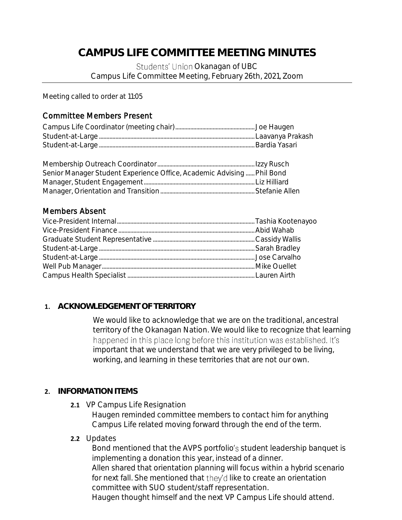# **CAMPUS LIFE COMMITTEE MEETING MINUTES**

Students' Union Okanagan of UBC Campus Life Committee Meeting, February 26th, 2021, Zoom

Meeting called to order at 11:05

#### Committee Members Present

| Senior Manager Student Experience Office, Academic Advising Phil Bond |  |
|-----------------------------------------------------------------------|--|
|                                                                       |  |
|                                                                       |  |

#### Members Absent

#### **1. ACKNOWLEDGEMENT OF TERRITORY**

We would like to acknowledge that we are on the traditional, ancestral territory of the Okanagan Nation. We would like to recognize that learning happened in this place long before this institution was established. It's important that we understand that we are very privileged to be living, working, and learning in these territories that are not our own.

#### **2. INFORMATION ITEMS**

**2.1** VP Campus Life Resignation

Haugen reminded committee members to contact him for anything Campus Life related moving forward through the end of the term.

**2.2** Updates

Bond mentioned that the AVPS portfolio's student leadership banquet is implementing a donation this year, instead of a dinner.

Allen shared that orientation planning will focus within a hybrid scenario for next fall. She mentioned that they'd like to create an orientation committee with SUO student/staff representation.

Haugen thought himself and the next VP Campus Life should attend.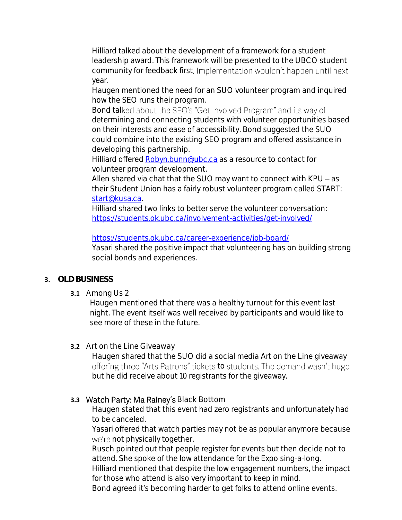Hilliard talked about the development of a framework for a student leadership award. This framework will be presented to the UBCO student community for feedback first. Implementation wouldn't happen until next year.

Haugen mentioned the need for an SUO volunteer program and inquired how the SEO runs their program.

Bond talked about the SEO's "Get Involved Program" and its way of determining and connecting students with volunteer opportunities based on their interests and ease of accessibility. Bond suggested the SUO could combine into the existing SEO program and offered assistance in developing this partnership.

Hilliard offered [Robyn.bunn@ubc.ca](mailto:Robyn.bunn@ubc.ca) as a resource to contact for volunteer program development.

Allen shared via chat that the SUO may want to connect with KPU - as their Student Union has a fairly robust volunteer program called START: [start@kusa.ca.](mailto:start@kusa.ca)

Hilliard shared two links to better serve the volunteer conversation: <https://students.ok.ubc.ca/involvement-activities/get-involved/>

#### <https://students.ok.ubc.ca/career-experience/job-board/>

Yasari shared the positive impact that volunteering has on building strong social bonds and experiences.

## **3. OLD BUSINESS**

**3.1** Among Us 2

Haugen mentioned that there was a healthy turnout for this event last night. The event itself was well received by participants and would like to see more of these in the future.

## **3.2** Art on the Line Giveaway

Haugen shared that the SUO did a social media Art on the Line giveaway offering three "Arts Patrons" tickets to students. The demand wasn't huge but he did receive about 10 registrants for the giveaway.

# **3.3 Watch Party: Ma Rainey's Black Bottom**

Haugen stated that this event had zero registrants and unfortunately had to be canceled.

Yasari offered that watch parties may not be as popular anymore because we're not physically together.

Rusch pointed out that people register for events but then decide not to attend. She spoke of the low attendance for the Expo sing-a-long.

Hilliard mentioned that despite the low engagement numbers, the impact for those who attend is also very important to keep in mind.

Bond agreed it's becoming harder to get folks to attend online events.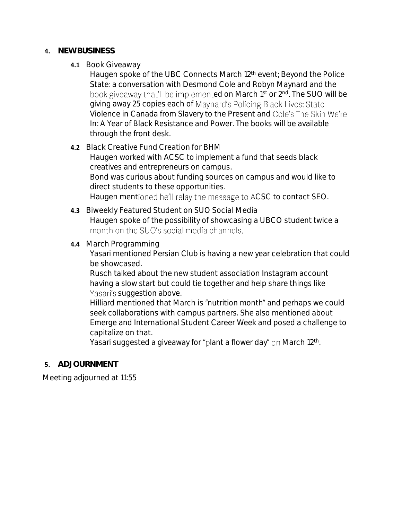- **4. NEW BUSINESS**
	- **4.1** Book Giveaway

Haugen spoke of the UBC Connects March 12<sup>th</sup> event; Beyond the Police State: a conversation with Desmond Cole and Robyn Maynard and the book giveaway that'll be implemented on March 1<sup>st</sup> or 2<sup>nd</sup>. The SUO will be giving away 25 copies each of Maynard's Policing Black Lives: State Violence in Canada from Slavery to the Present and Cole's The Skin We're In: A Year of Black Resistance and Power. The books will be available through the front desk.

#### **4.2** Black Creative Fund Creation for BHM

Haugen worked with ACSC to implement a fund that seeds black creatives and entrepreneurs on campus.

Bond was curious about funding sources on campus and would like to direct students to these opportunities.

Haugen mentioned he'll relay the message to ACSC to contact SEO.

**4.3** Biweekly Featured Student on SUO Social Media Haugen spoke of the possibility of showcasing a UBCO student twice a month on the SUO's social media channels.

#### **4.4** March Programming

Yasari mentioned Persian Club is having a new year celebration that could be showcased.

Rusch talked about the new student association Instagram account having a slow start but could tie together and help share things like Yasari's suggestion above.

Hilliard mentioned that March is "nutrition month" and perhaps we could seek collaborations with campus partners. She also mentioned about Emerge and International Student Career Week and posed a challenge to capitalize on that.

Yasari suggested a giveaway for "plant a flower day" on March 12th.

## **5. ADJOURNMENT**

Meeting adjourned at 11:55